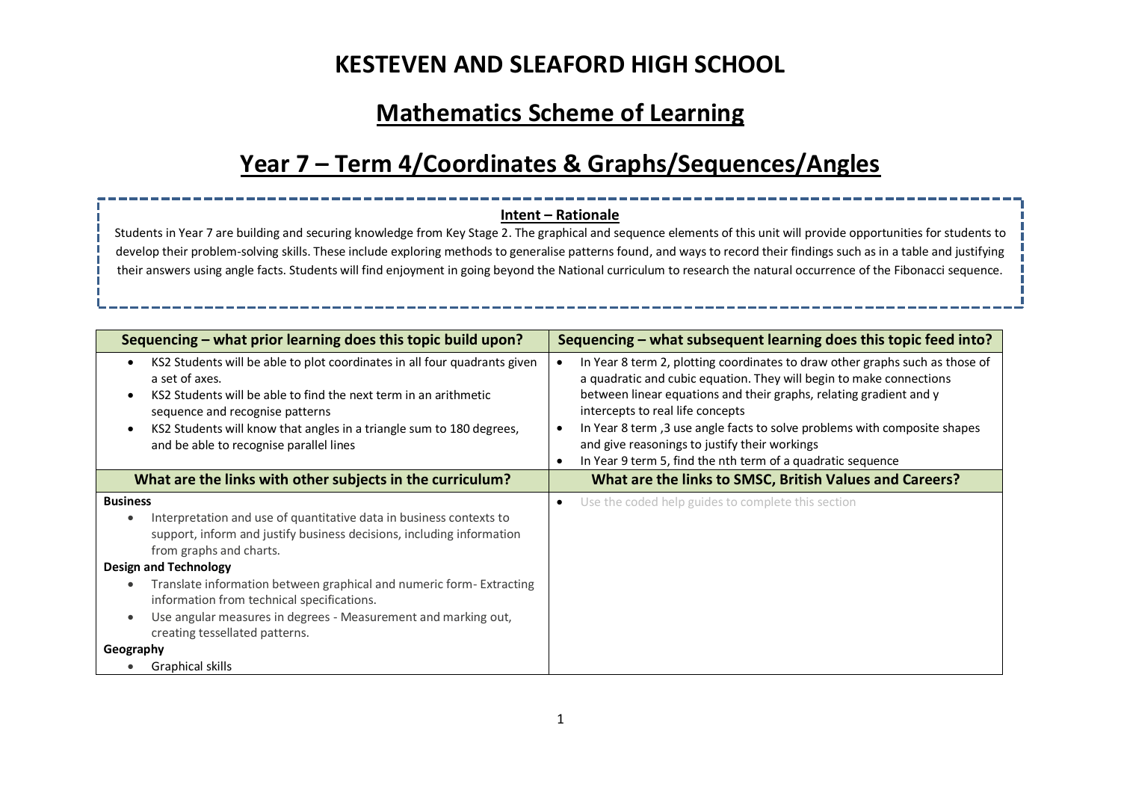## **Mathematics Scheme of Learning**

# **Year 7 – Term 4/Coordinates & Graphs/Sequences/Angles**

### **Intent – Rationale**

Students in Year 7 are building and securing knowledge from Key Stage 2. The graphical and sequence elements of this unit will provide opportunities for students to develop their problem-solving skills. These include exploring methods to generalise patterns found, and ways to record their findings such as in a table and justifying their answers using angle facts. Students will find enjoyment in going beyond the National curriculum to research the natural occurrence of the Fibonacci sequence.

| Sequencing – what prior learning does this topic build upon?                                                                                                                                                                                                                                                                                                                                                                                                                  | Sequencing – what subsequent learning does this topic feed into?                                                                                                                                                                                                                                                                                                                                                                                           |  |  |
|-------------------------------------------------------------------------------------------------------------------------------------------------------------------------------------------------------------------------------------------------------------------------------------------------------------------------------------------------------------------------------------------------------------------------------------------------------------------------------|------------------------------------------------------------------------------------------------------------------------------------------------------------------------------------------------------------------------------------------------------------------------------------------------------------------------------------------------------------------------------------------------------------------------------------------------------------|--|--|
| KS2 Students will be able to plot coordinates in all four quadrants given<br>$\bullet$<br>a set of axes.<br>KS2 Students will be able to find the next term in an arithmetic<br>sequence and recognise patterns<br>KS2 Students will know that angles in a triangle sum to 180 degrees,<br>and be able to recognise parallel lines                                                                                                                                            | In Year 8 term 2, plotting coordinates to draw other graphs such as those of<br>a quadratic and cubic equation. They will begin to make connections<br>between linear equations and their graphs, relating gradient and y<br>intercepts to real life concepts<br>In Year 8 term, 3 use angle facts to solve problems with composite shapes<br>and give reasonings to justify their workings<br>In Year 9 term 5, find the nth term of a quadratic sequence |  |  |
| What are the links with other subjects in the curriculum?                                                                                                                                                                                                                                                                                                                                                                                                                     | What are the links to SMSC, British Values and Careers?                                                                                                                                                                                                                                                                                                                                                                                                    |  |  |
| <b>Business</b><br>Interpretation and use of quantitative data in business contexts to<br>$\bullet$<br>support, inform and justify business decisions, including information<br>from graphs and charts.<br><b>Design and Technology</b><br>Translate information between graphical and numeric form-Extracting<br>information from technical specifications.<br>Use angular measures in degrees - Measurement and marking out,<br>$\bullet$<br>creating tessellated patterns. | Use the coded help guides to complete this section<br>٠                                                                                                                                                                                                                                                                                                                                                                                                    |  |  |
| Geography<br>Graphical skills                                                                                                                                                                                                                                                                                                                                                                                                                                                 |                                                                                                                                                                                                                                                                                                                                                                                                                                                            |  |  |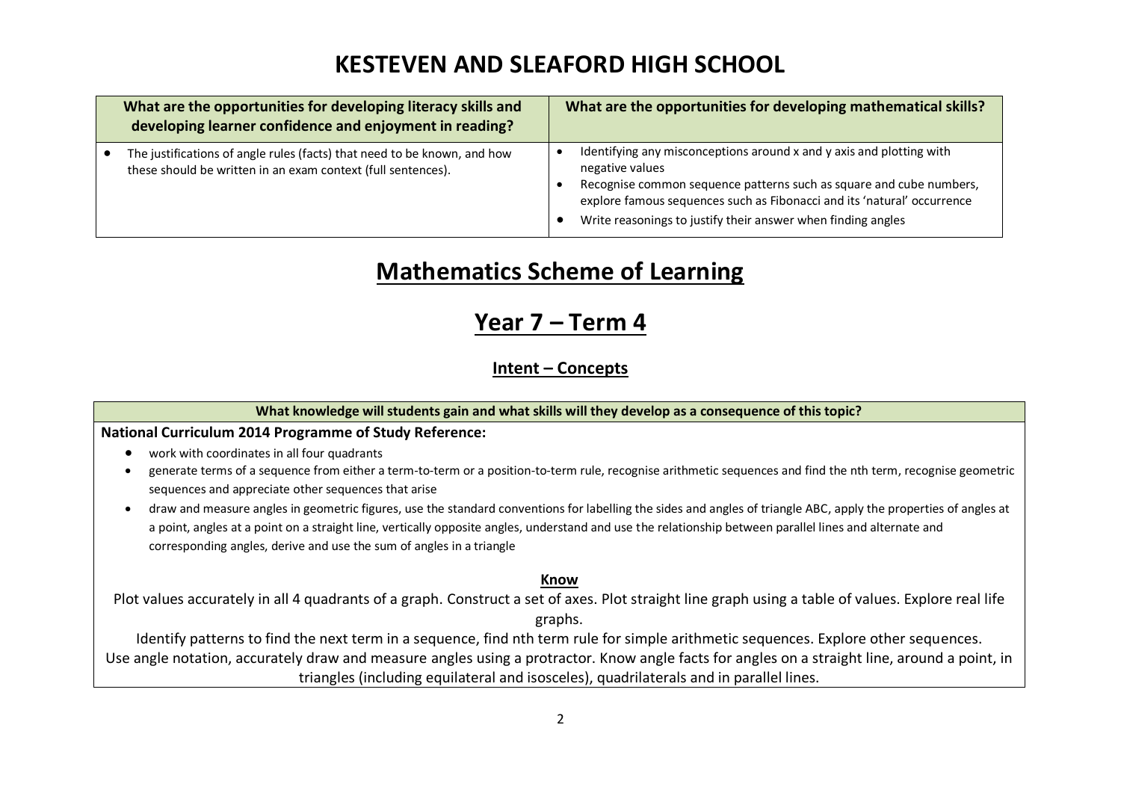| What are the opportunities for developing literacy skills and<br>developing learner confidence and enjoyment in reading?                 | What are the opportunities for developing mathematical skills?                                                                                                                                                                                                                                            |
|------------------------------------------------------------------------------------------------------------------------------------------|-----------------------------------------------------------------------------------------------------------------------------------------------------------------------------------------------------------------------------------------------------------------------------------------------------------|
| The justifications of angle rules (facts) that need to be known, and how<br>these should be written in an exam context (full sentences). | Identifying any misconceptions around x and y axis and plotting with<br>negative values<br>Recognise common sequence patterns such as square and cube numbers,<br>explore famous sequences such as Fibonacci and its 'natural' occurrence<br>Write reasonings to justify their answer when finding angles |

## **Mathematics Scheme of Learning**

### **Year 7 – Term 4**

### **Intent – Concepts**

### **What knowledge will students gain and what skills will they develop as a consequence of this topic?**

### **National Curriculum 2014 Programme of Study Reference:**

- work with coordinates in all four quadrants
- generate terms of a sequence from either a term-to-term or a position-to-term rule, recognise arithmetic sequences and find the nth term, recognise geometric sequences and appreciate other sequences that arise
- draw and measure angles in geometric figures, use the standard conventions for labelling the sides and angles of triangle ABC, apply the properties of angles at a point, angles at a point on a straight line, vertically opposite angles, understand and use the relationship between parallel lines and alternate and corresponding angles, derive and use the sum of angles in a triangle

### **Know**

Plot values accurately in all 4 quadrants of a graph. Construct a set of axes. Plot straight line graph using a table of values. Explore real life graphs.

Identify patterns to find the next term in a sequence, find nth term rule for simple arithmetic sequences. Explore other sequences. Use angle notation, accurately draw and measure angles using a protractor. Know angle facts for angles on a straight line, around a point, in triangles (including equilateral and isosceles), quadrilaterals and in parallel lines.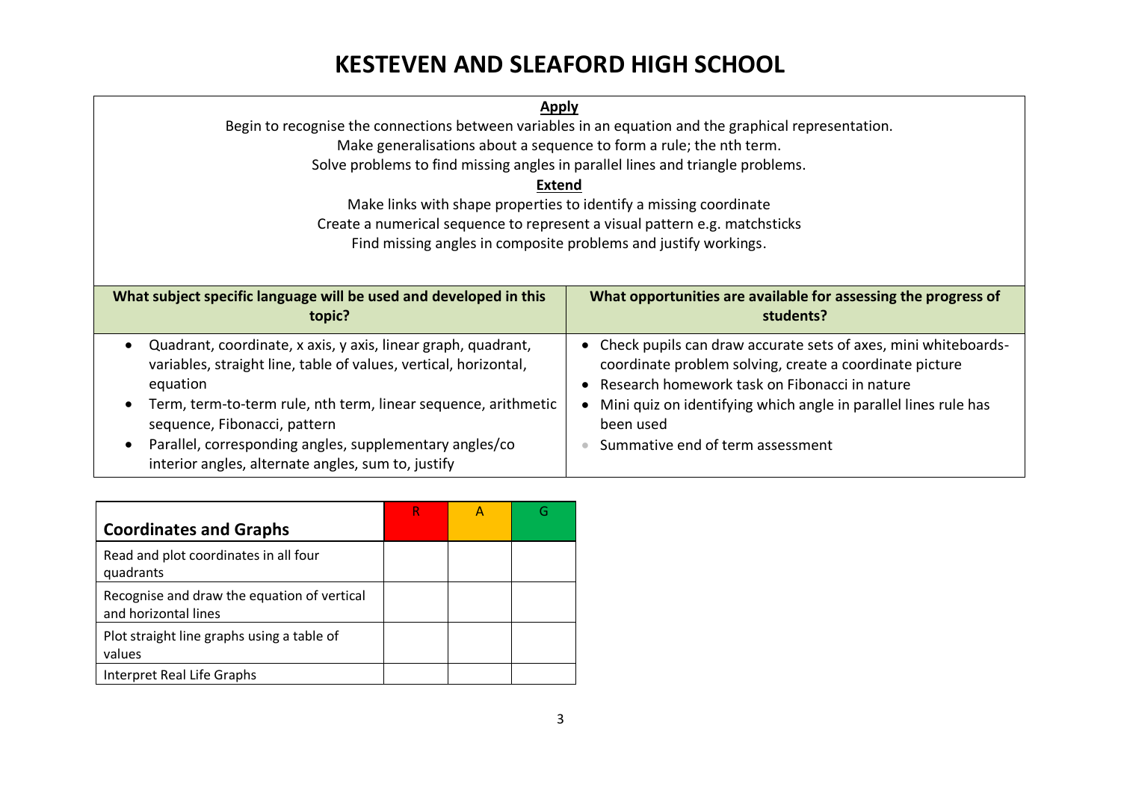| <b>Apply</b>                                                                                          |                                                                             |  |  |
|-------------------------------------------------------------------------------------------------------|-----------------------------------------------------------------------------|--|--|
| Begin to recognise the connections between variables in an equation and the graphical representation. |                                                                             |  |  |
| Make generalisations about a sequence to form a rule; the nth term.                                   |                                                                             |  |  |
| Solve problems to find missing angles in parallel lines and triangle problems.                        |                                                                             |  |  |
| <b>Extend</b>                                                                                         |                                                                             |  |  |
| Make links with shape properties to identify a missing coordinate                                     |                                                                             |  |  |
| Create a numerical sequence to represent a visual pattern e.g. matchsticks                            |                                                                             |  |  |
| Find missing angles in composite problems and justify workings.                                       |                                                                             |  |  |
|                                                                                                       |                                                                             |  |  |
|                                                                                                       | What opportunities are available for assessing the progress of<br>students? |  |  |
| What subject specific language will be used and developed in this<br>topic?                           |                                                                             |  |  |

| <b>Coordinates and Graphs</b>                                       |  |  |
|---------------------------------------------------------------------|--|--|
| Read and plot coordinates in all four<br>quadrants                  |  |  |
| Recognise and draw the equation of vertical<br>and horizontal lines |  |  |
| Plot straight line graphs using a table of<br>values                |  |  |
| Interpret Real Life Graphs                                          |  |  |